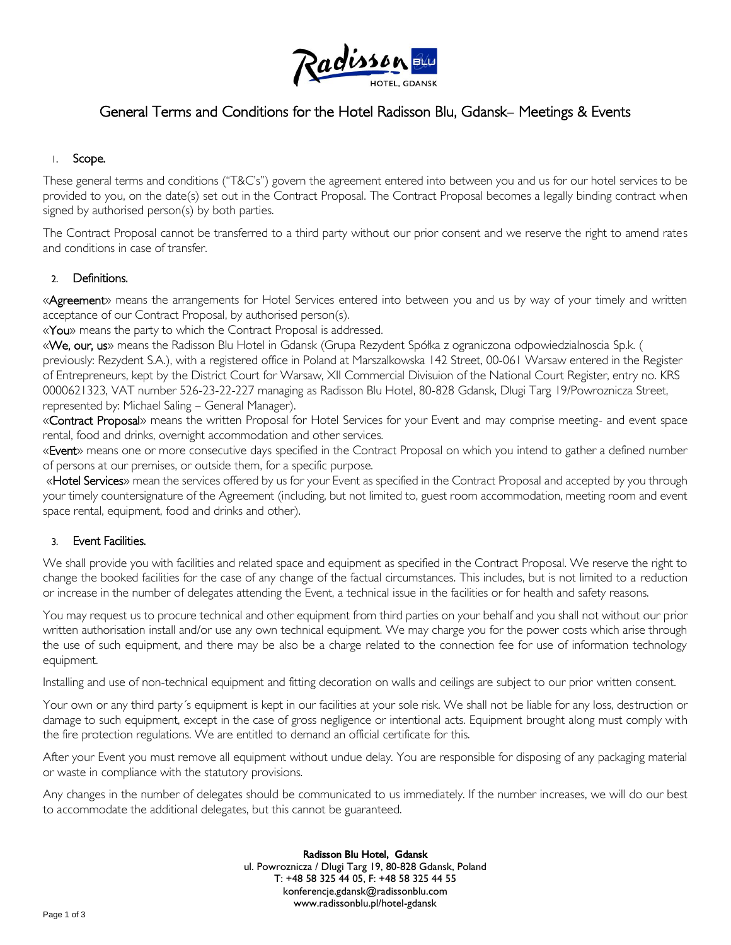

# General Terms and Conditions for the Hotel Radisson Blu, Gdansk– Meetings & Events

# 1. Scope.

These general terms and conditions ("T&C's") govern the agreement entered into between you and us for our hotel services to be provided to you, on the date(s) set out in the Contract Proposal. The Contract Proposal becomes a legally binding contract when signed by authorised person(s) by both parties.

The Contract Proposal cannot be transferred to a third party without our prior consent and we reserve the right to amend rates and conditions in case of transfer.

## 2. Definitions.

«Agreement» means the arrangements for Hotel Services entered into between you and us by way of your timely and written acceptance of our Contract Proposal, by authorised person(s).

«You» means the party to which the Contract Proposal is addressed.

«We, our, us» means the Radisson Blu Hotel in Gdansk (Grupa Rezydent Spółka z ograniczona odpowiedzialnoscia Sp.k. ( previously: Rezydent S.A.), with a registered office in Poland at Marszalkowska 142 Street, 00-061 Warsaw entered in the Register of Entrepreneurs, kept by the District Court for Warsaw, XII Commercial Divisuion of the National Court Register, entry no. KRS 0000621323, VAT number 526-23-22-227 managing as Radisson Blu Hotel, 80-828 Gdansk, Dlugi Targ 19/Powroznicza Street, represented by: Michael Saling – General Manager).

«Contract Proposal» means the written Proposal for Hotel Services for your Event and may comprise meeting- and event space rental, food and drinks, overnight accommodation and other services.

«Event» means one or more consecutive days specified in the Contract Proposal on which you intend to gather a defined number of persons at our premises, or outside them, for a specific purpose.

«Hotel Services» mean the services offered by us for your Event as specified in the Contract Proposal and accepted by you through your timely countersignature of the Agreement (including, but not limited to, guest room accommodation, meeting room and event space rental, equipment, food and drinks and other).

## 3. Event Facilities.

We shall provide you with facilities and related space and equipment as specified in the Contract Proposal. We reserve the right to change the booked facilities for the case of any change of the factual circumstances. This includes, but is not limited to a reduction or increase in the number of delegates attending the Event, a technical issue in the facilities or for health and safety reasons.

You may request us to procure technical and other equipment from third parties on your behalf and you shall not without our prior written authorisation install and/or use any own technical equipment. We may charge you for the power costs which arise through the use of such equipment, and there may be also be a charge related to the connection fee for use of information technology equipment.

Installing and use of non-technical equipment and fitting decoration on walls and ceilings are subject to our prior written consent.

Your own or any third party´s equipment is kept in our facilities at your sole risk. We shall not be liable for any loss, destruction or damage to such equipment, except in the case of gross negligence or intentional acts. Equipment brought along must comply with the fire protection regulations. We are entitled to demand an official certificate for this.

After your Event you must remove all equipment without undue delay. You are responsible for disposing of any packaging material or waste in compliance with the statutory provisions.

Any changes in the number of delegates should be communicated to us immediately. If the number increases, we will do our best to accommodate the additional delegates, but this cannot be guaranteed.

> Radisson Blu Hotel, Gdansk ul. Powroznicza / Dlugi Targ 19, 80-828 Gdansk, Poland T: +48 58 325 44 05, F: +48 58 325 44 55 konferencje.gdansk@radissonblu.com www.radissonblu.pl/hotel-gdansk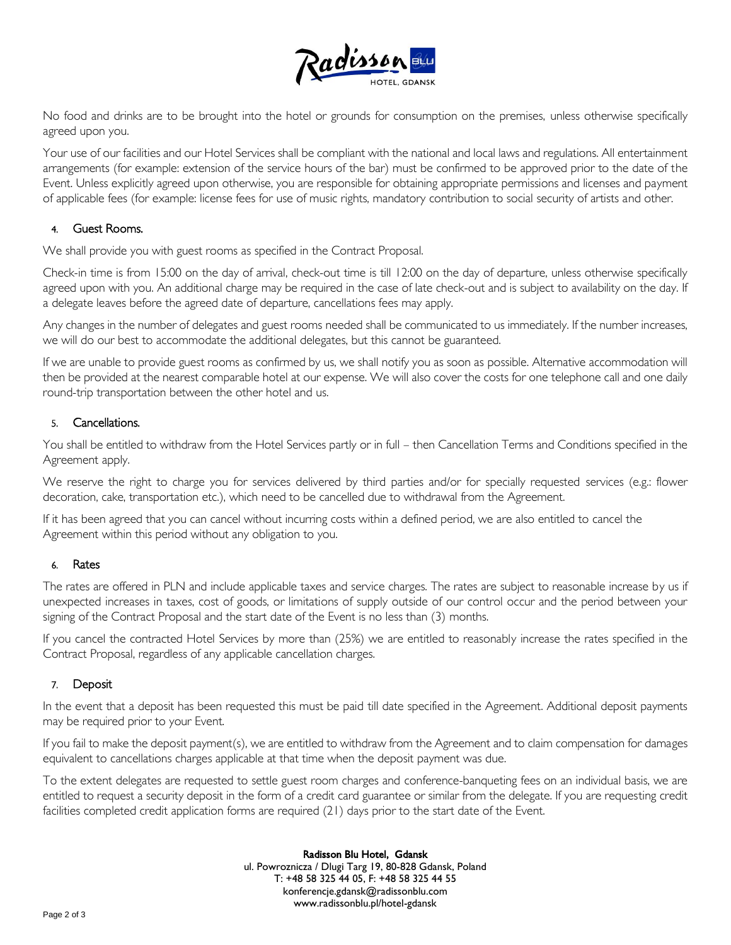

No food and drinks are to be brought into the hotel or grounds for consumption on the premises, unless otherwise specifically agreed upon you.

Your use of our facilities and our Hotel Services shall be compliant with the national and local laws and regulations. All entertainment arrangements (for example: extension of the service hours of the bar) must be confirmed to be approved prior to the date of the Event. Unless explicitly agreed upon otherwise, you are responsible for obtaining appropriate permissions and licenses and payment of applicable fees (for example: license fees for use of music rights, mandatory contribution to social security of artists and other.

# 4. Guest Rooms.

We shall provide you with guest rooms as specified in the Contract Proposal.

Check-in time is from 15:00 on the day of arrival, check-out time is till 12:00 on the day of departure, unless otherwise specifically agreed upon with you. An additional charge may be required in the case of late check-out and is subject to availability on the day. If a delegate leaves before the agreed date of departure, cancellations fees may apply.

Any changes in the number of delegates and guest rooms needed shall be communicated to us immediately. If the number increases, we will do our best to accommodate the additional delegates, but this cannot be guaranteed.

If we are unable to provide guest rooms as confirmed by us, we shall notify you as soon as possible. Alternative accommodation will then be provided at the nearest comparable hotel at our expense. We will also cover the costs for one telephone call and one daily round-trip transportation between the other hotel and us.

# 5. Cancellations.

You shall be entitled to withdraw from the Hotel Services partly or in full – then Cancellation Terms and Conditions specified in the Agreement apply.

We reserve the right to charge you for services delivered by third parties and/or for specially requested services (e.g.: flower decoration, cake, transportation etc.), which need to be cancelled due to withdrawal from the Agreement.

If it has been agreed that you can cancel without incurring costs within a defined period, we are also entitled to cancel the Agreement within this period without any obligation to you.

## 6. Rates

The rates are offered in PLN and include applicable taxes and service charges. The rates are subject to reasonable increase by us if unexpected increases in taxes, cost of goods, or limitations of supply outside of our control occur and the period between your signing of the Contract Proposal and the start date of the Event is no less than (3) months.

If you cancel the contracted Hotel Services by more than (25%) we are entitled to reasonably increase the rates specified in the Contract Proposal, regardless of any applicable cancellation charges.

## 7. Deposit

In the event that a deposit has been requested this must be paid till date specified in the Agreement. Additional deposit payments may be required prior to your Event.

If you fail to make the deposit payment(s), we are entitled to withdraw from the Agreement and to claim compensation for damages equivalent to cancellations charges applicable at that time when the deposit payment was due.

To the extent delegates are requested to settle guest room charges and conference-banqueting fees on an individual basis, we are entitled to request a security deposit in the form of a credit card guarantee or similar from the delegate. If you are requesting credit facilities completed credit application forms are required (21) days prior to the start date of the Event.

> Radisson Blu Hotel, Gdansk ul. Powroznicza / Dlugi Targ 19, 80-828 Gdansk, Poland T: +48 58 325 44 05, F: +48 58 325 44 55 konferencje.gdansk@radissonblu.com www.radissonblu.pl/hotel-gdansk